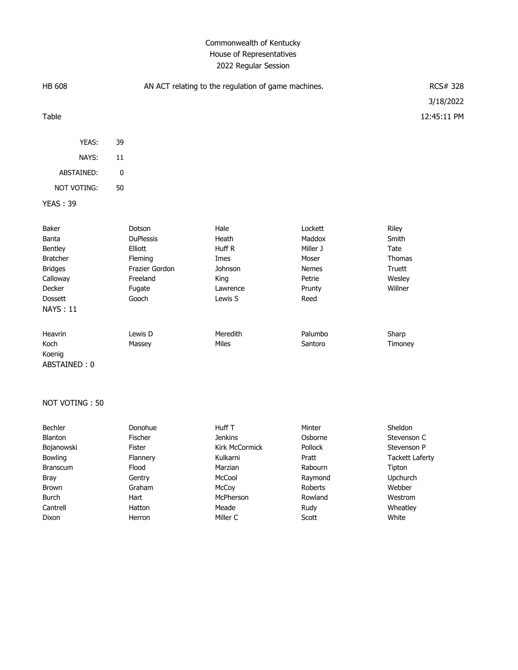# Commonwealth of Kentucky House of Representatives 2022 Regular Session

| <b>HB 608</b>   | AN ACT relating to the regulation of game machines. |          |          | RCS# 328      |
|-----------------|-----------------------------------------------------|----------|----------|---------------|
|                 |                                                     |          |          | 3/18/2022     |
| Table           |                                                     |          |          | 12:45:11 PM   |
|                 |                                                     |          |          |               |
| YEAS:           | 39                                                  |          |          |               |
| NAYS:           | 11                                                  |          |          |               |
| ABSTAINED:      | 0                                                   |          |          |               |
| NOT VOTING:     | 50                                                  |          |          |               |
| <b>YEAS: 39</b> |                                                     |          |          |               |
|                 |                                                     |          |          |               |
| Baker           | Dotson                                              | Hale     | Lockett  | Riley         |
| Banta           | <b>DuPlessis</b>                                    | Heath    | Maddox   | Smith         |
| Bentley         | Elliott                                             | Huff R   | Miller J | Tate          |
| <b>Bratcher</b> | Fleming                                             | Imes     | Moser    | <b>Thomas</b> |
| <b>Bridges</b>  | Frazier Gordon                                      | Johnson  | Nemes    | Truett        |
| Calloway        | Freeland                                            | King     | Petrie   | Wesley        |
| Decker          | Fugate                                              | Lawrence | Prunty   | Willner       |
| <b>Dossett</b>  | Gooch                                               | Lewis S  | Reed     |               |
| <b>NAYS: 11</b> |                                                     |          |          |               |
|                 |                                                     |          |          |               |
| Heavrin         | Lewis D                                             | Meredith | Palumbo  | Sharp         |
| Koch            | Massey                                              | Miles    | Santoro  | Timoney       |
| Koenig          |                                                     |          |          |               |
| ABSTAINED: 0    |                                                     |          |          |               |

#### NOT VOTING : 50

| <b>Bechler</b>  | Donohue        | Huff T         | Minter  | Sheldon                |
|-----------------|----------------|----------------|---------|------------------------|
| <b>Blanton</b>  | <b>Fischer</b> | <b>Jenkins</b> | Osborne | Stevenson C            |
| Bojanowski      | Fister         | Kirk McCormick | Pollock | Stevenson P            |
| <b>Bowling</b>  | Flannery       | Kulkarni       | Pratt   | <b>Tackett Laferty</b> |
| <b>Branscum</b> | Flood          | Marzian        | Rabourn | Tipton                 |
| Bray            | Gentry         | McCool         | Raymond | <b>Upchurch</b>        |
| Brown           | Graham         | McCoy          | Roberts | Webber                 |
| Burch           | Hart           | McPherson      | Rowland | Westrom                |
| Cantrell        | Hatton         | Meade          | Rudv    | Wheatley               |
| Dixon           | Herron         | Miller C       | Scott   | White                  |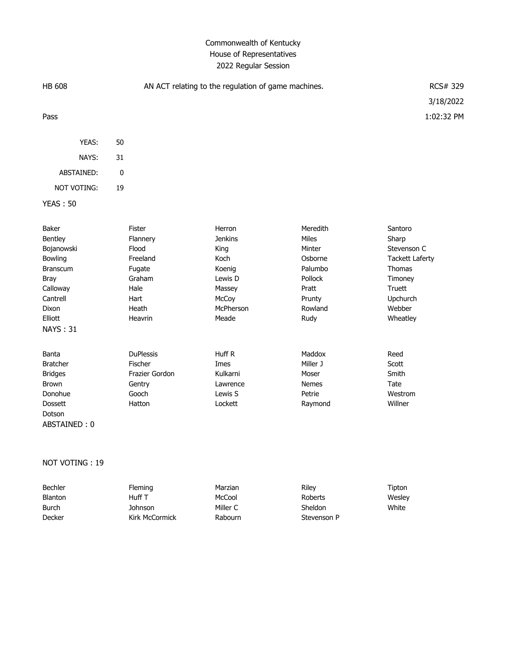# Commonwealth of Kentucky House of Representatives 2022 Regular Session

| <b>HB 608</b>                                                                                                                              |                                                                                                        | AN ACT relating to the regulation of game machines.                                                    |                                                                                                    |                                                                                                                                          |
|--------------------------------------------------------------------------------------------------------------------------------------------|--------------------------------------------------------------------------------------------------------|--------------------------------------------------------------------------------------------------------|----------------------------------------------------------------------------------------------------|------------------------------------------------------------------------------------------------------------------------------------------|
| Pass                                                                                                                                       |                                                                                                        |                                                                                                        |                                                                                                    | 1:02:32 PM                                                                                                                               |
| YEAS:                                                                                                                                      | 50                                                                                                     |                                                                                                        |                                                                                                    |                                                                                                                                          |
| NAYS:                                                                                                                                      | 31                                                                                                     |                                                                                                        |                                                                                                    |                                                                                                                                          |
| ABSTAINED:                                                                                                                                 | $\pmb{0}$                                                                                              |                                                                                                        |                                                                                                    |                                                                                                                                          |
| <b>NOT VOTING:</b>                                                                                                                         | 19                                                                                                     |                                                                                                        |                                                                                                    |                                                                                                                                          |
| <b>YEAS: 50</b>                                                                                                                            |                                                                                                        |                                                                                                        |                                                                                                    |                                                                                                                                          |
| Baker<br>Bentley<br>Bojanowski<br>Bowling<br><b>Branscum</b><br><b>Bray</b><br>Calloway<br>Cantrell<br>Dixon<br>Elliott<br><b>NAYS: 31</b> | <b>Fister</b><br>Flannery<br>Flood<br>Freeland<br>Fugate<br>Graham<br>Hale<br>Hart<br>Heath<br>Heavrin | Herron<br><b>Jenkins</b><br>King<br>Koch<br>Koenig<br>Lewis D<br>Massey<br>McCoy<br>McPherson<br>Meade | Meredith<br>Miles<br>Minter<br>Osborne<br>Palumbo<br>Pollock<br>Pratt<br>Prunty<br>Rowland<br>Rudy | Santoro<br>Sharp<br>Stevenson C<br><b>Tackett Laferty</b><br><b>Thomas</b><br>Timoney<br><b>Truett</b><br>Upchurch<br>Webber<br>Wheatley |
| Banta<br><b>Bratcher</b><br><b>Bridges</b><br><b>Brown</b><br>Donohue<br>Dossett<br>Dotson<br>ABSTAINED: 0                                 | <b>DuPlessis</b><br>Fischer<br>Frazier Gordon<br>Gentry<br>Gooch<br>Hatton                             | Huff R<br>Imes<br>Kulkarni<br>Lawrence<br>Lewis S<br>Lockett                                           | Maddox<br>Miller J<br>Moser<br><b>Nemes</b><br>Petrie<br>Raymond                                   | Reed<br>Scott<br>Smith<br>Tate<br>Westrom<br>Willner                                                                                     |

## NOT VOTING : 19

| Bechler        | <b>Fleming</b> | Marzian  | Rilev          | Tipton |
|----------------|----------------|----------|----------------|--------|
| <b>Blanton</b> | Huff T         | McCool   | Roberts        | Wesley |
| Burch          | Johnson        | Miller C | <b>Sheldon</b> | White  |
| Decker         | Kirk McCormick | Rabourn  | Stevenson P    |        |